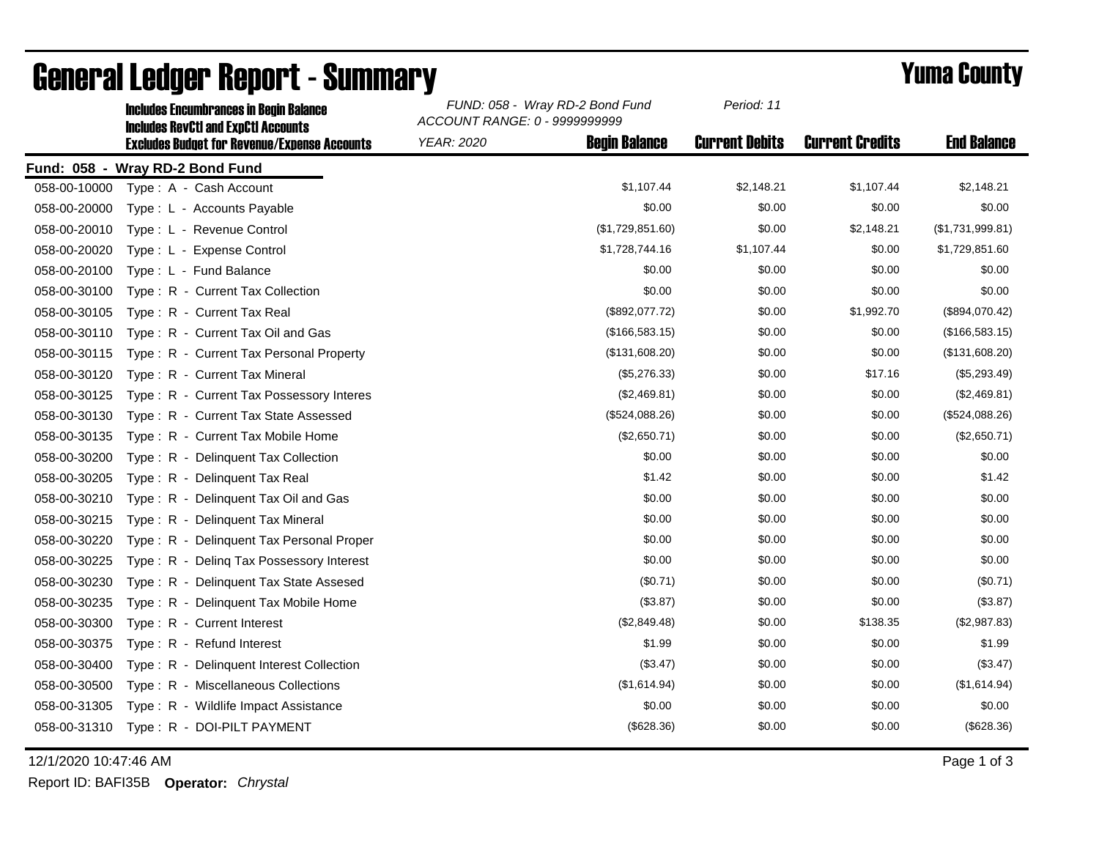|              | IIICIUUCS EIICUIIIDI AIICCS III DCUIII DAIAIICC<br><b>Includes RevCtI and ExpCtI Accounts</b><br><b>Excludes Budget for Revenue/Expense Accounts</b> | ACCOUNT RANGE: 0 - 9999999999 |                      |                       |                        |                    |
|--------------|------------------------------------------------------------------------------------------------------------------------------------------------------|-------------------------------|----------------------|-----------------------|------------------------|--------------------|
|              |                                                                                                                                                      | YEAR: 2020                    | <b>Begin Balance</b> | <b>Current Debits</b> | <b>Current Credits</b> | <b>End Balance</b> |
|              | Fund: 058 - Wray RD-2 Bond Fund                                                                                                                      |                               |                      |                       |                        |                    |
| 058-00-10000 | Type: A - Cash Account                                                                                                                               |                               | \$1,107.44           | \$2,148.21            | \$1,107.44             | \$2,148.21         |
| 058-00-20000 | Type : L - Accounts Payable                                                                                                                          |                               | \$0.00               | \$0.00                | \$0.00                 | \$0.00             |
| 058-00-20010 | Type: L - Revenue Control                                                                                                                            |                               | (\$1,729,851.60)     | \$0.00                | \$2,148.21             | (\$1,731,999.81)   |
| 058-00-20020 | Type: L - Expense Control                                                                                                                            |                               | \$1,728,744.16       | \$1,107.44            | \$0.00                 | \$1,729,851.60     |
| 058-00-20100 | Type: L - Fund Balance                                                                                                                               |                               | \$0.00               | \$0.00                | \$0.00                 | \$0.00             |
| 058-00-30100 | Type: R - Current Tax Collection                                                                                                                     |                               | \$0.00               | \$0.00                | \$0.00                 | \$0.00             |
| 058-00-30105 | Type: R - Current Tax Real                                                                                                                           |                               | (\$892,077.72)       | \$0.00                | \$1,992.70             | (\$894,070.42)     |
| 058-00-30110 | Type: R - Current Tax Oil and Gas                                                                                                                    |                               | (\$166,583.15)       | \$0.00                | \$0.00                 | (\$166,583.15)     |
| 058-00-30115 | Type: R - Current Tax Personal Property                                                                                                              |                               | (\$131,608.20)       | \$0.00                | \$0.00                 | (\$131,608.20)     |
| 058-00-30120 | Type: R - Current Tax Mineral                                                                                                                        |                               | (\$5,276.33)         | \$0.00                | \$17.16                | (\$5,293.49)       |
| 058-00-30125 | Type: R - Current Tax Possessory Interes                                                                                                             |                               | (\$2,469.81)         | \$0.00                | \$0.00                 | (\$2,469.81)       |
| 058-00-30130 | Type: R - Current Tax State Assessed                                                                                                                 |                               | (\$524,088.26)       | \$0.00                | \$0.00                 | (\$524,088.26)     |
| 058-00-30135 | Type: R - Current Tax Mobile Home                                                                                                                    |                               | (\$2,650.71)         | \$0.00                | \$0.00                 | (\$2,650.71)       |
| 058-00-30200 | Type: R - Delinquent Tax Collection                                                                                                                  |                               | \$0.00               | \$0.00                | \$0.00                 | \$0.00             |
| 058-00-30205 | Type: R - Delinguent Tax Real                                                                                                                        |                               | \$1.42               | \$0.00                | \$0.00                 | \$1.42             |
| 058-00-30210 | Type: R - Delinquent Tax Oil and Gas                                                                                                                 |                               | \$0.00               | \$0.00                | \$0.00                 | \$0.00             |
| 058-00-30215 | Type: R - Delinquent Tax Mineral                                                                                                                     |                               | \$0.00               | \$0.00                | \$0.00                 | \$0.00             |
| 058-00-30220 | Type: R - Delinquent Tax Personal Proper                                                                                                             |                               | \$0.00               | \$0.00                | \$0.00                 | \$0.00             |
| 058-00-30225 | Type: R - Deling Tax Possessory Interest                                                                                                             |                               | \$0.00               | \$0.00                | \$0.00                 | \$0.00             |
| 058-00-30230 | Type: R - Delinquent Tax State Assesed                                                                                                               |                               | (\$0.71)             | \$0.00                | \$0.00                 | (\$0.71)           |
| 058-00-30235 | Type: R - Delinquent Tax Mobile Home                                                                                                                 |                               | (\$3.87)             | \$0.00                | \$0.00                 | (\$3.87)           |
| 058-00-30300 | Type: R - Current Interest                                                                                                                           |                               | (\$2,849.48)         | \$0.00                | \$138.35               | (\$2,987.83)       |
| 058-00-30375 | Type: R - Refund Interest                                                                                                                            |                               | \$1.99               | \$0.00                | \$0.00                 | \$1.99             |
| 058-00-30400 | Type: R - Delinquent Interest Collection                                                                                                             |                               | (\$3.47)             | \$0.00                | \$0.00                 | (\$3.47)           |
| 058-00-30500 | Type: R - Miscellaneous Collections                                                                                                                  |                               | (\$1,614.94)         | \$0.00                | \$0.00                 | (\$1,614.94)       |
| 058-00-31305 | Type: R - Wildlife Impact Assistance                                                                                                                 |                               | \$0.00               | \$0.00                | \$0.00                 | \$0.00             |
|              | 058-00-31310 Type: R - DOI-PILT PAYMENT                                                                                                              |                               | (\$628.36)           | \$0.00                | \$0.00                 | (\$628.36)         |
|              |                                                                                                                                                      |                               |                      |                       |                        |                    |

## General Ledger Report - Summary **Example 2018** Yuma County

Includes Encumbrances in Begin Balance *FUND: 058 - Wray RD-2 Bond Fund*

12/1/2020 10:47:46 AM Page 1 of 3

Report ID: BAFI35B **Operator:** *Chrystal*

*Period: 11*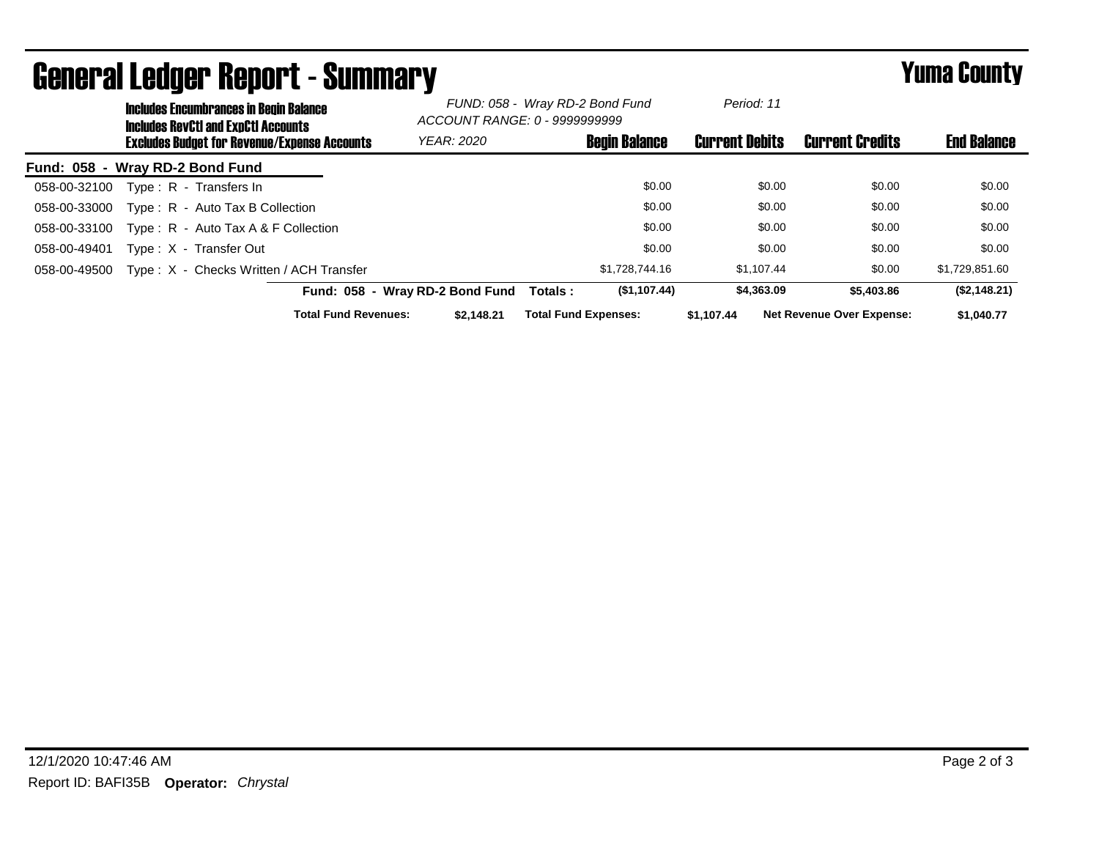|                                 | avnyi ul evuqvi tivpol t<br>——————————<br><b>Includes Encumbrances in Begin Balance</b><br><b>Includes RevCtI and ExpCtI Accounts</b><br><b>Excludes Budget for Revenue/Expense Accounts</b> |                                         | FUND: 058 - Wray RD-2 Bond Fund<br>ACCOUNT RANGE: 0 - 9999999999 |                             | Period: 11            |                                  |                    |
|---------------------------------|----------------------------------------------------------------------------------------------------------------------------------------------------------------------------------------------|-----------------------------------------|------------------------------------------------------------------|-----------------------------|-----------------------|----------------------------------|--------------------|
|                                 |                                                                                                                                                                                              |                                         | <b>YEAR: 2020</b>                                                | <b>Begin Balance</b>        | <b>Current Debits</b> | <b>Current Credits</b>           | <b>End Balance</b> |
| Fund: 058 - Wray RD-2 Bond Fund |                                                                                                                                                                                              |                                         |                                                                  |                             |                       |                                  |                    |
| 058-00-32100                    |                                                                                                                                                                                              | Type: R - Transfers In                  |                                                                  | \$0.00                      | \$0.00                | \$0.00                           | \$0.00             |
| 058-00-33000                    |                                                                                                                                                                                              | Type: R - Auto Tax B Collection         |                                                                  | \$0.00                      | \$0.00                | \$0.00                           | \$0.00             |
| 058-00-33100                    |                                                                                                                                                                                              | Type : $R -$ Auto Tax A & F Collection  |                                                                  | \$0.00                      | \$0.00                | \$0.00                           | \$0.00             |
| 058-00-49401                    |                                                                                                                                                                                              | Type: X - Transfer Out                  |                                                                  | \$0.00                      | \$0.00                | \$0.00                           | \$0.00             |
| 058-00-49500                    |                                                                                                                                                                                              | Type: X - Checks Written / ACH Transfer |                                                                  | \$1,728,744.16              | \$1.107.44            | \$0.00                           | \$1,729,851.60     |
|                                 |                                                                                                                                                                                              |                                         | Fund: 058 - Wray RD-2 Bond Fund                                  | (\$1,107.44)<br>Totals:     | \$4,363.09            | \$5,403.86                       | (\$2,148.21)       |
|                                 |                                                                                                                                                                                              | <b>Total Fund Revenues:</b>             | \$2.148.21                                                       | <b>Total Fund Expenses:</b> | \$1,107.44            | <b>Net Revenue Over Expense:</b> | \$1,040.77         |

## General Ledger Report - Summary **Example 2018** Yuma County